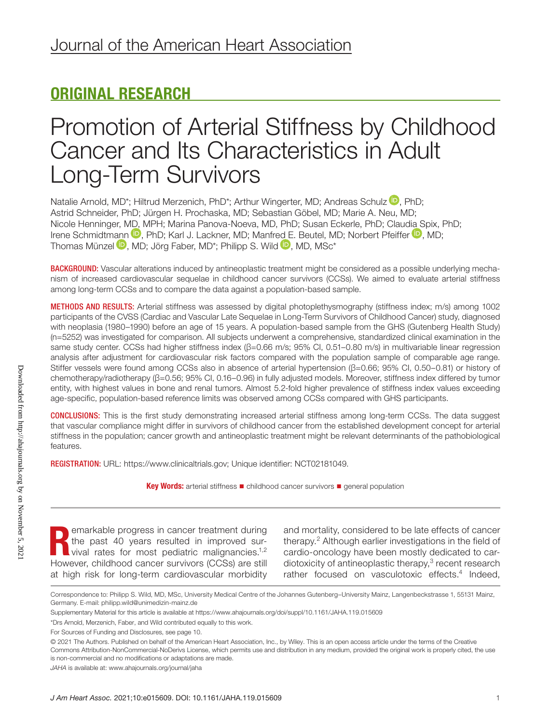## ORIGINAL RESEARCH

## Promotion of Arterial Stiffness by Childhood Cancer and Its Characteristics in Adult Long-Term Survivors

Natalie Arnold[,](https://orcid.org/0000-0003-1394-680X) MD\*; Hiltrud Merzenich, PhD\*; Arthur Wingerter, MD; Andreas Schulz  $\mathbb D$ , PhD; Astrid Schneider, PhD; Jürgen H. Prochaska, MD; Sebastian Göbel, MD; Marie A. Neu, MD; Nicole Henninger, [MD, M](https://orcid.org/0000-0001-8743-6752)PH; Marina Panova-Noeva, MD, PhD; Susan Eckerle, PhD; Clau[dia S](https://orcid.org/0000-0002-5766-2617)pix, PhD; Irene Schmidtm[ann](https://orcid.org/0000-0001-5503-4150) **D**, PhD: Karl J. Lackner, MD; Manfr[ed E](https://orcid.org/0000-0003-4413-9752). Beutel, MD; Norbert Pfeiffer **D**, MD; Thomas Münzel **D**, MD; Jörg Faber, MD<sup>\*</sup>; Philipp S, Wild **D**, MD, MSc<sup>\*</sup>

BACKGROUND: Vascular alterations induced by antineoplastic treatment might be considered as a possible underlying mechanism of increased cardiovascular sequelae in childhood cancer survivors (CCSs). We aimed to evaluate arterial stiffness among long-term CCSs and to compare the data against a population-based sample.

METHODS AND RESULTS: Arterial stiffness was assessed by digital photoplethysmography (stiffness index; m/s) among 1002 participants of the CVSS (Cardiac and Vascular Late Sequelae in Long-Term Survivors of Childhood Cancer) study, diagnosed with neoplasia (1980–1990) before an age of 15 years. A population-based sample from the GHS (Gutenberg Health Study) (n=5252) was investigated for comparison. All subjects underwent a comprehensive, standardized clinical examination in the same study center. CCSs had higher stiffness index (β=0.66 m/s; 95% CI, 0.51–0.80 m/s) in multivariable linear regression analysis after adjustment for cardiovascular risk factors compared with the population sample of comparable age range. Stiffer vessels were found among CCSs also in absence of arterial hypertension (β=0.66; 95% CI, 0.50–0.81) or history of chemotherapy/radiotherapy (β=0.56; 95% CI, 0.16–0.96) in fully adjusted models. Moreover, stiffness index differed by tumor entity, with highest values in bone and renal tumors. Almost 5.2-fold higher prevalence of stiffness index values exceeding age-specific, population-based reference limits was observed among CCSs compared with GHS participants.

CONCLUSIONS: This is the first study demonstrating increased arterial stiffness among long-term CCSs. The data suggest that vascular compliance might differ in survivors of childhood cancer from the established development concept for arterial stiffness in the population; cancer growth and antineoplastic treatment might be relevant determinants of the pathobiological features.

REGISTRATION: URL: <https://www.clinicaltrials.gov>; Unique identifier: NCT02181049.

Key Words: arterial stiffness ■ childhood cancer survivors ■ general population

emarkable progress in cancer treatment during the past 40 years resulted in improved survival rates for most pediatric malignancies.<sup>1,2</sup> However, childhood cancer survivors (CCSs) are still at high risk for long-term cardiovascular morbidity

and mortality, considered to be late effects of cancer therapy.2 Although earlier investigations in the field of cardio-oncology have been mostly dedicated to cardiotoxicity of antineoplastic therapy,<sup>3</sup> recent research rather focused on vasculotoxic effects.<sup>4</sup> Indeed,

Correspondence to: Philipp S. Wild, MD, MSc, University Medical Centre of the Johannes Gutenberg–University Mainz, Langenbeckstrasse 1, 55131 Mainz, Germany. E-mail: [philipp.wild@unimedizin-mainz.de](mailto:philipp.wild@unimedizin-mainz.de)

Supplementary Material for this article is available at <https://www.ahajournals.org/doi/suppl/10.1161/JAHA.119.015609>

<sup>\*</sup>Drs Arnold, Merzenich, Faber, and Wild contributed equally to this work.

For Sources of Funding and Disclosures, see page 10.

<sup>© 2021</sup> The Authors. Published on behalf of the American Heart Association, Inc., by Wiley. This is an open access article under the terms of the [Creative](http://creativecommons.org/licenses/by-nc-nd/4.0/)  [Commons Attribution-NonCommercial-NoDerivs](http://creativecommons.org/licenses/by-nc-nd/4.0/) License, which permits use and distribution in any medium, provided the original work is properly cited, the use is non-commercial and no modifications or adaptations are made.

*JAHA* is available at: [www.ahajournals.org/journal/jaha](https://www.ahajournals.org/journal/jaha)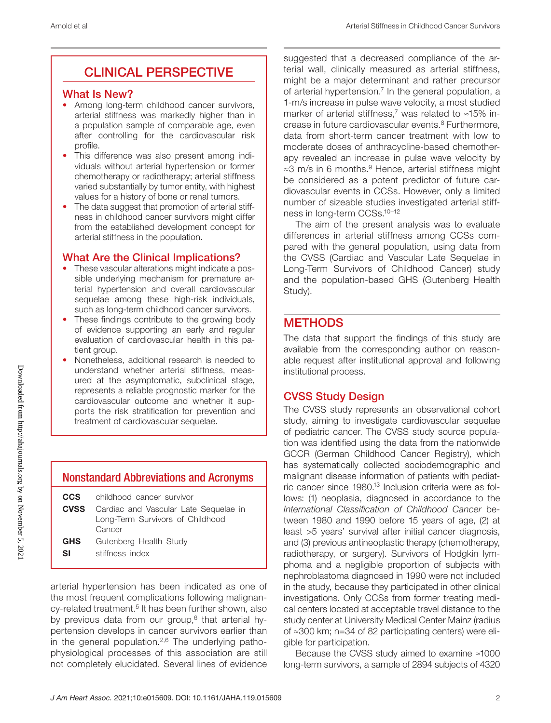## CLINICAL PERSPECTIVE

#### What Is New?

- Among long-term childhood cancer survivors, arterial stiffness was markedly higher than in a population sample of comparable age, even after controlling for the cardiovascular risk profile.
- This difference was also present among individuals without arterial hypertension or former chemotherapy or radiotherapy; arterial stiffness varied substantially by tumor entity, with highest values for a history of bone or renal tumors.
- The data suggest that promotion of arterial stiffness in childhood cancer survivors might differ from the established development concept for arterial stiffness in the population.

## What Are the Clinical Implications?

- These vascular alterations might indicate a possible underlying mechanism for premature arterial hypertension and overall cardiovascular sequelae among these high-risk individuals, such as long-term childhood cancer survivors.
- These findings contribute to the growing body of evidence supporting an early and regular evaluation of cardiovascular health in this patient group.
- Nonetheless, additional research is needed to understand whether arterial stiffness, measured at the asymptomatic, subclinical stage, represents a reliable prognostic marker for the cardiovascular outcome and whether it supports the risk stratification for prevention and treatment of cardiovascular sequelae.

## Nonstandard Abbreviations and Acronyms

| CCS        | childhood cancer survivor                         |
|------------|---------------------------------------------------|
|            | <b>CVSS</b> Cardiac and Vascular Late Sequelae in |
|            | Long-Term Survivors of Childhood<br>Cancer        |
|            |                                                   |
| <b>GHS</b> | Gutenberg Health Study                            |
|            |                                                   |

**SI** stiffness index

arterial hypertension has been indicated as one of the most frequent complications following malignancy-related treatment.<sup>5</sup> It has been further shown, also by previous data from our group, $6$  that arterial hypertension develops in cancer survivors earlier than in the general population.<sup>2,6</sup> The underlying pathophysiological processes of this association are still not completely elucidated. Several lines of evidence

suggested that a decreased compliance of the arterial wall, clinically measured as arterial stiffness, might be a major determinant and rather precursor of arterial hypertension.<sup>7</sup> In the general population, a 1-m/s increase in pulse wave velocity, a most studied marker of arterial stiffness,<sup>7</sup> was related to ≈15% increase in future cardiovascular events.8 Furthermore, data from short-term cancer treatment with low to moderate doses of anthracycline-based chemotherapy revealed an increase in pulse wave velocity by ≈3 m/s in 6 months.9 Hence, arterial stiffness might be considered as a potent predictor of future cardiovascular events in CCSs. However, only a limited number of sizeable studies investigated arterial stiffness in long-term CCSs.10–12

The aim of the present analysis was to evaluate differences in arterial stiffness among CCSs compared with the general population, using data from the CVSS (Cardiac and Vascular Late Sequelae in Long-Term Survivors of Childhood Cancer) study and the population-based GHS (Gutenberg Health Study).

## **METHODS**

The data that support the findings of this study are available from the corresponding author on reasonable request after institutional approval and following institutional process.

## CVSS Study Design

The CVSS study represents an observational cohort study, aiming to investigate cardiovascular sequelae of pediatric cancer. The CVSS study source population was identified using the data from the nationwide GCCR (German Childhood Cancer Registry), which has systematically collected sociodemographic and malignant disease information of patients with pediatric cancer since 1980.13 Inclusion criteria were as follows: (1) neoplasia, diagnosed in accordance to the *International Classification of Childhood Cancer* between 1980 and 1990 before 15 years of age, (2) at least >5 years' survival after initial cancer diagnosis, and (3) previous antineoplastic therapy (chemotherapy, radiotherapy, or surgery). Survivors of Hodgkin lymphoma and a negligible proportion of subjects with nephroblastoma diagnosed in 1990 were not included in the study, because they participated in other clinical investigations. Only CCSs from former treating medical centers located at acceptable travel distance to the study center at University Medical Center Mainz (radius of ≈300 km; n=34 of 82 participating centers) were eligible for participation.

Because the CVSS study aimed to examine ≈1000 long-term survivors, a sample of 2894 subjects of 4320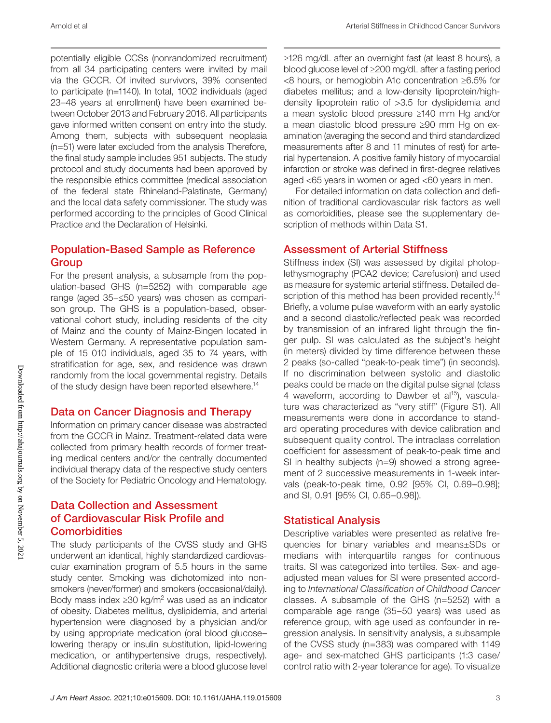potentially eligible CCSs (nonrandomized recruitment) from all 34 participating centers were invited by mail via the GCCR. Of invited survivors, 39% consented to participate (n=1140). In total, 1002 individuals (aged 23–48 years at enrollment) have been examined between October 2013 and February 2016. All participants gave informed written consent on entry into the study. Among them, subjects with subsequent neoplasia (n=51) were later excluded from the analysis Therefore, the final study sample includes 951 subjects. The study protocol and study documents had been approved by the responsible ethics committee (medical association of the federal state Rhineland-Palatinate, Germany) and the local data safety commissioner. The study was performed according to the principles of Good Clinical Practice and the Declaration of Helsinki.

## Population-Based Sample as Reference **Group**

For the present analysis, a subsample from the population-based GHS (n=5252) with comparable age range (aged 35–≤50 years) was chosen as comparison group. The GHS is a population-based, observational cohort study, including residents of the city of Mainz and the county of Mainz-Bingen located in Western Germany. A representative population sample of 15 010 individuals, aged 35 to 74 years, with stratification for age, sex, and residence was drawn randomly from the local governmental registry. Details of the study design have been reported elsewhere.<sup>14</sup>

#### Data on Cancer Diagnosis and Therapy

Information on primary cancer disease was abstracted from the GCCR in Mainz. Treatment-related data were collected from primary health records of former treating medical centers and/or the centrally documented individual therapy data of the respective study centers of the Society for Pediatric Oncology and Hematology.

## Data Collection and Assessment of Cardiovascular Risk Profile and **Comorbidities**

The study participants of the CVSS study and GHS underwent an identical, highly standardized cardiovascular examination program of 5.5 hours in the same study center. Smoking was dichotomized into nonsmokers (never/former) and smokers (occasional/daily). Body mass index  $\geq$ 30 kg/m<sup>2</sup> was used as an indicator of obesity. Diabetes mellitus, dyslipidemia, and arterial hypertension were diagnosed by a physician and/or by using appropriate medication (oral blood glucose– lowering therapy or insulin substitution, lipid-lowering medication, or antihypertensive drugs, respectively). Additional diagnostic criteria were a blood glucose level

≥126 mg/dL after an overnight fast (at least 8 hours), a blood glucose level of ≥200 mg/dL after a fasting period <8 hours, or hemoglobin A1c concentration ≥6.5% for diabetes mellitus; and a low-density lipoprotein/highdensity lipoprotein ratio of >3.5 for dyslipidemia and a mean systolic blood pressure ≥140 mm Hg and/or a mean diastolic blood pressure ≥90 mm Hg on examination (averaging the second and third standardized measurements after 8 and 11 minutes of rest) for arterial hypertension. A positive family history of myocardial infarction or stroke was defined in first-degree relatives aged <65 years in women or aged <60 years in men.

For detailed information on data collection and definition of traditional cardiovascular risk factors as well as comorbidities, please see the supplementary description of methods within Data S1.

#### Assessment of Arterial Stiffness

Stiffness index (SI) was assessed by digital photoplethysmography (PCA2 device; Carefusion) and used as measure for systemic arterial stiffness. Detailed description of this method has been provided recently.<sup>14</sup> Briefly, a volume pulse waveform with an early systolic and a second diastolic/reflected peak was recorded by transmission of an infrared light through the finger pulp. SI was calculated as the subject's height (in meters) divided by time difference between these 2 peaks (so-called "peak-to-peak time") (in seconds). If no discrimination between systolic and diastolic peaks could be made on the digital pulse signal (class 4 waveform, according to Dawber et al<sup>15</sup>), vasculature was characterized as "very stiff" (Figure S1). All measurements were done in accordance to standard operating procedures with device calibration and subsequent quality control. The intraclass correlation coefficient for assessment of peak-to-peak time and SI in healthy subjects (n=9) showed a strong agreement of 2 successive measurements in 1-week intervals (peak-to-peak time, 0.92 [95% CI, 0.69–0.98]; and SI, 0.91 [95% CI, 0.65–0.98]).

#### Statistical Analysis

Descriptive variables were presented as relative frequencies for binary variables and means±SDs or medians with interquartile ranges for continuous traits. SI was categorized into tertiles. Sex- and ageadjusted mean values for SI were presented according to *International Classification of Childhood Cancer* classes. A subsample of the GHS (n=5252) with a comparable age range (35–50 years) was used as reference group, with age used as confounder in regression analysis. In sensitivity analysis, a subsample of the CVSS study (n=383) was compared with 1149 age- and sex-matched GHS participants (1:3 case/ control ratio with 2-year tolerance for age). To visualize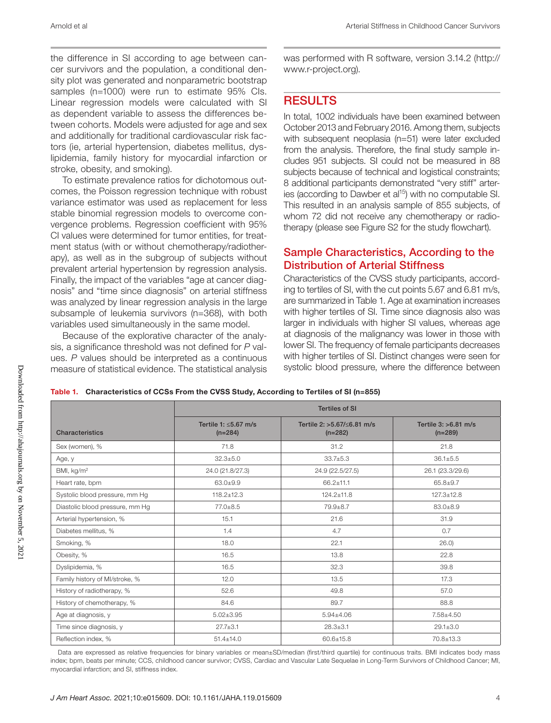the difference in SI according to age between cancer survivors and the population, a conditional density plot was generated and nonparametric bootstrap samples (n=1000) were run to estimate 95% CIs. Linear regression models were calculated with SI as dependent variable to assess the differences between cohorts. Models were adjusted for age and sex and additionally for traditional cardiovascular risk factors (ie, arterial hypertension, diabetes mellitus, dyslipidemia, family history for myocardial infarction or stroke, obesity, and smoking).

To estimate prevalence ratios for dichotomous outcomes, the Poisson regression technique with robust variance estimator was used as replacement for less stable binomial regression models to overcome convergence problems. Regression coefficient with 95% CI values were determined for tumor entities, for treatment status (with or without chemotherapy/radiotherapy), as well as in the subgroup of subjects without prevalent arterial hypertension by regression analysis. Finally, the impact of the variables "age at cancer diagnosis" and "time since diagnosis" on arterial stiffness was analyzed by linear regression analysis in the large subsample of leukemia survivors (n=368), with both variables used simultaneously in the same model.

Because of the explorative character of the analysis, a significance threshold was not defined for *P* values. *P* values should be interpreted as a continuous measure of statistical evidence. The statistical analysis was performed with R software, version 3.14.2 ([http://](http://www.r-project.org) [www.r-project.org\)](http://www.r-project.org).

## RESULTS

In total, 1002 individuals have been examined between October 2013 and February 2016. Among them, subjects with subsequent neoplasia (n=51) were later excluded from the analysis. Therefore, the final study sample includes 951 subjects. SI could not be measured in 88 subjects because of technical and logistical constraints; 8 additional participants demonstrated "very stiff" arteries (according to Dawber et al<sup>15</sup>) with no computable SI. This resulted in an analysis sample of 855 subjects, of whom 72 did not receive any chemotherapy or radiotherapy (please see Figure S2 for the study flowchart).

## Sample Characteristics, According to the Distribution of Arterial Stiffness

Characteristics of the CVSS study participants, according to tertiles of SI, with the cut points 5.67 and 6.81 m/s, are summarized in Table 1. Age at examination increases with higher tertiles of SI. Time since diagnosis also was larger in individuals with higher SI values, whereas age at diagnosis of the malignancy was lower in those with lower SI. The frequency of female participants decreases with higher tertiles of SI. Distinct changes were seen for systolic blood pressure, where the difference between

Table 1. Characteristics of CCSs From the CVSS Study, According to Tertiles of SI (n=855)

|                                 | <b>Tertiles of SI</b>                   |                                         |                                     |  |
|---------------------------------|-----------------------------------------|-----------------------------------------|-------------------------------------|--|
| <b>Characteristics</b>          | Tertile 1: $\leq$ 5.67 m/s<br>$(n=284)$ | Tertile 2: >5.67/<6.81 m/s<br>$(n=282)$ | Tertile $3:$ >6.81 m/s<br>$(n=289)$ |  |
| Sex (women), %                  | 71.8                                    | 31.2                                    | 21.8                                |  |
| Age, y                          | $32.3 + 5.0$                            | $33.7 + 5.3$                            | $36.1 \pm 5.5$                      |  |
| BMI, $kg/m2$                    | 24.0 (21.8/27.3)                        | 24.9 (22.5/27.5)                        | 26.1 (23.3/29.6)                    |  |
| Heart rate, bpm                 | $63.0 + 9.9$                            | $66.2 \pm 11.1$                         | $65.8 \pm 9.7$                      |  |
| Systolic blood pressure, mm Hg  | $118.2 \pm 12.3$                        | $124.2 \pm 11.8$                        | $127.3 \pm 12.8$                    |  |
| Diastolic blood pressure, mm Hg | 77.0±8.5                                | $79.9 + 8.7$                            | $83.0 + 8.9$                        |  |
| Arterial hypertension, %        | 15.1                                    | 21.6                                    | 31.9                                |  |
| Diabetes mellitus, %            | 1.4                                     | 4.7                                     | 0.7                                 |  |
| Smoking, %                      | 18.0                                    | 22.1                                    | 26.0                                |  |
| Obesity, %                      | 16.5                                    | 13.8                                    | 22.8                                |  |
| Dyslipidemia, %                 | 16.5                                    | 32.3                                    | 39.8                                |  |
| Family history of MI/stroke, %  | 12.0                                    | 13.5                                    | 17.3                                |  |
| History of radiotherapy, %      | 52.6                                    | 49.8                                    | 57.0                                |  |
| History of chemotherapy, %      | 84.6                                    | 89.7                                    | 88.8                                |  |
| Age at diagnosis, y             | $5.02 \pm 3.95$                         | $5.94{\pm}4.06$                         | $7.58 + 4.50$                       |  |
| Time since diagnosis, y         | $27.7 \pm 3.1$                          | $28.3 \pm 3.1$                          | $29.1 \pm 3.0$                      |  |
| Reflection index, %             | $51.4 \pm 14.0$                         | $60.6 \pm 15.8$                         | 70.8±13.3                           |  |

Data are expressed as relative frequencies for binary variables or mean±SD/median (first/third quartile) for continuous traits. BMI indicates body mass index; bpm, beats per minute; CCS, childhood cancer survivor; CVSS, Cardiac and Vascular Late Sequelae in Long-Term Survivors of Childhood Cancer; MI, myocardial infarction; and SI, stiffness index.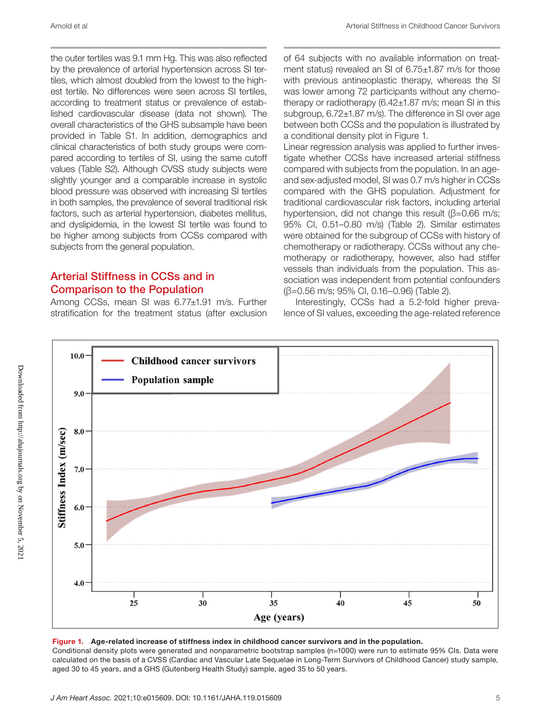the outer tertiles was 9.1 mm Hg. This was also reflected by the prevalence of arterial hypertension across SI tertiles, which almost doubled from the lowest to the highest tertile. No differences were seen across SI tertiles, according to treatment status or prevalence of established cardiovascular disease (data not shown). The overall characteristics of the GHS subsample have been provided in Table S1. In addition, demographics and clinical characteristics of both study groups were compared according to tertiles of SI, using the same cutoff values (Table S2). Although CVSS study subjects were slightly younger and a comparable increase in systolic blood pressure was observed with increasing SI tertiles in both samples, the prevalence of several traditional risk factors, such as arterial hypertension, diabetes mellitus, and dyslipidemia, in the lowest SI tertile was found to be higher among subjects from CCSs compared with subjects from the general population.

#### Arterial Stiffness in CCSs and in Comparison to the Population

Among CCSs, mean SI was 6.77±1.91 m/s. Further stratification for the treatment status (after exclusion of 64 subjects with no available information on treatment status) revealed an SI of 6.75±1.87 m/s for those with previous antineoplastic therapy, whereas the SI was lower among 72 participants without any chemotherapy or radiotherapy  $(6.42\pm1.87 \text{ m/s})$ ; mean SI in this subgroup, 6.72±1.87 m/s). The difference in SI over age between both CCSs and the population is illustrated by a conditional density plot in Figure 1.

Linear regression analysis was applied to further investigate whether CCSs have increased arterial stiffness compared with subjects from the population. In an ageand sex-adjusted model, SI was 0.7 m/s higher in CCSs compared with the GHS population. Adjustment for traditional cardiovascular risk factors, including arterial hypertension, did not change this result (β=0.66 m/s; 95% CI, 0.51–0.80 m/s) (Table 2). Similar estimates were obtained for the subgroup of CCSs with history of chemotherapy or radiotherapy. CCSs without any chemotherapy or radiotherapy, however, also had stiffer vessels than individuals from the population. This association was independent from potential confounders (β=0.56 m/s; 95% CI, 0.16–0.96) (Table 2).

Interestingly, CCSs had a 5.2-fold higher prevalence of SI values, exceeding the age-related reference



#### Figure 1. Age-related increase of stiffness index in childhood cancer survivors and in the population.

Conditional density plots were generated and nonparametric bootstrap samples (n=1000) were run to estimate 95% CIs. Data were calculated on the basis of a CVSS (Cardiac and Vascular Late Sequelae in Long-Term Survivors of Childhood Cancer) study sample, aged 30 to 45 years, and a GHS (Gutenberg Health Study) sample, aged 35 to 50 years.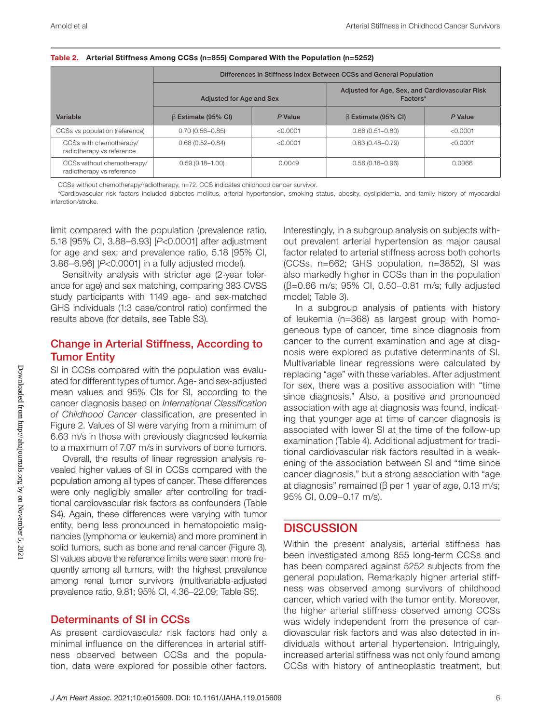|                                                         |                           |          | Differences in Stiffness Index Between CCSs and General Population |          |
|---------------------------------------------------------|---------------------------|----------|--------------------------------------------------------------------|----------|
|                                                         | Adjusted for Age and Sex  |          | Adjusted for Age, Sex, and Cardiovascular Risk<br>Factors*         |          |
| Variable                                                | $\beta$ Estimate (95% CI) | P Value  | $\beta$ Estimate (95% CI)                                          | P Value  |
| CCSs vs population (reference)                          | $0.70(0.56 - 0.85)$       | < 0.0001 | $0.66(0.51 - 0.80)$                                                | < 0.0001 |
| CCSs with chemotherapy/<br>radiotherapy vs reference    | $0.68(0.52 - 0.84)$       | < 0.0001 | $0.63(0.48 - 0.79)$                                                | < 0.0001 |
| CCSs without chemotherapy/<br>radiotherapy vs reference | $0.59(0.18 - 1.00)$       | 0.0049   | $0.56(0.16 - 0.96)$                                                | 0.0066   |

Table 2. Arterial Stiffness Among CCSs (n=855) Compared With the Population (n=5252)

CCSs without chemotherapy/radiotherapy, n=72. CCS indicates childhood cancer survivor.

\*Cardiovascular risk factors included diabetes mellitus, arterial hypertension, smoking status, obesity, dyslipidemia, and family history of myocardial infarction/stroke.

limit compared with the population (prevalence ratio, 5.18 [95% CI, 3.88–6.93] [*P*<0.0001] after adjustment for age and sex; and prevalence ratio, 5.18 [95% CI, 3.86–6.96] [*P*<0.0001] in a fully adjusted model).

Sensitivity analysis with stricter age (2-year tolerance for age) and sex matching, comparing 383 CVSS study participants with 1149 age- and sex-matched GHS individuals (1:3 case/control ratio) confirmed the results above (for details, see Table S3).

## Change in Arterial Stiffness, According to Tumor Entity

SI in CCSs compared with the population was evaluated for different types of tumor. Age- and sex-adjusted mean values and 95% CIs for SI, according to the cancer diagnosis based on *International Classification of Childhood Cancer* classification, are presented in Figure 2. Values of SI were varying from a minimum of 6.63 m/s in those with previously diagnosed leukemia to a maximum of 7.07 m/s in survivors of bone tumors.

Overall, the results of linear regression analysis revealed higher values of SI in CCSs compared with the population among all types of cancer. These differences were only negligibly smaller after controlling for traditional cardiovascular risk factors as confounders (Table S4). Again, these differences were varying with tumor entity, being less pronounced in hematopoietic malignancies (lymphoma or leukemia) and more prominent in solid tumors, such as bone and renal cancer (Figure 3). SI values above the reference limits were seen more frequently among all tumors, with the highest prevalence among renal tumor survivors (multivariable-adjusted prevalence ratio, 9.81; 95% CI, 4.36–22.09; Table S5).

#### Determinants of SI in CCSs

As present cardiovascular risk factors had only a minimal influence on the differences in arterial stiffness observed between CCSs and the population, data were explored for possible other factors.

Interestingly, in a subgroup analysis on subjects without prevalent arterial hypertension as major causal factor related to arterial stiffness across both cohorts (CCSs, n=662; GHS population, n=3852), SI was also markedly higher in CCSs than in the population (β=0.66 m/s; 95% CI, 0.50–0.81 m/s; fully adjusted model; Table 3).

In a subgroup analysis of patients with history of leukemia (n=368) as largest group with homogeneous type of cancer, time since diagnosis from cancer to the current examination and age at diagnosis were explored as putative determinants of SI. Multivariable linear regressions were calculated by replacing "age" with these variables. After adjustment for sex, there was a positive association with "time since diagnosis." Also, a positive and pronounced association with age at diagnosis was found, indicating that younger age at time of cancer diagnosis is associated with lower SI at the time of the follow-up examination (Table 4). Additional adjustment for traditional cardiovascular risk factors resulted in a weakening of the association between SI and "time since cancer diagnosis," but a strong association with "age at diagnosis" remained ( $β$  per 1 year of age, 0.13 m/s; 95% CI, 0.09–0.17 m/s).

## **DISCUSSION**

Within the present analysis, arterial stiffness has been investigated among 855 long-term CCSs and has been compared against 5252 subjects from the general population. Remarkably higher arterial stiffness was observed among survivors of childhood cancer, which varied with the tumor entity. Moreover, the higher arterial stiffness observed among CCSs was widely independent from the presence of cardiovascular risk factors and was also detected in individuals without arterial hypertension. Intriguingly, increased arterial stiffness was not only found among CCSs with history of antineoplastic treatment, but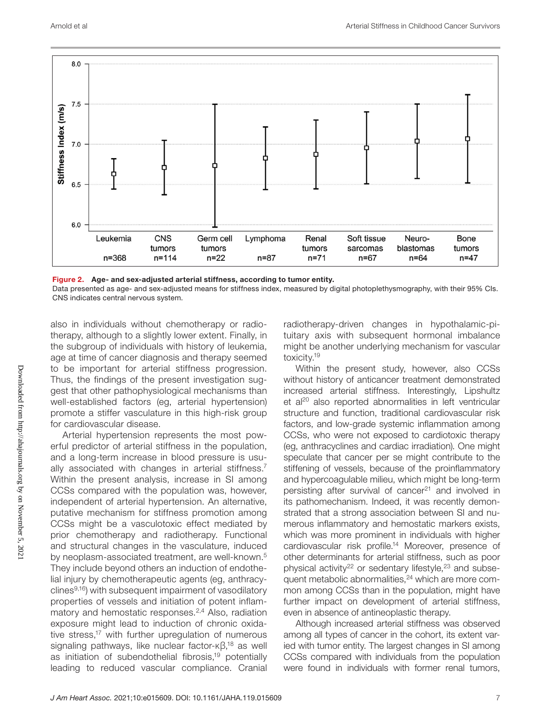

Figure 2. Age- and sex-adjusted arterial stiffness, according to tumor entity. Data presented as age- and sex-adjusted means for stiffness index, measured by digital photoplethysmography, with their 95% CIs. CNS indicates central nervous system.

also in individuals without chemotherapy or radiotherapy, although to a slightly lower extent. Finally, in the subgroup of individuals with history of leukemia, age at time of cancer diagnosis and therapy seemed to be important for arterial stiffness progression. Thus, the findings of the present investigation suggest that other pathophysiological mechanisms than well-established factors (eg, arterial hypertension) promote a stiffer vasculature in this high-risk group for cardiovascular disease.

Arterial hypertension represents the most powerful predictor of arterial stiffness in the population, and a long-term increase in blood pressure is usually associated with changes in arterial stiffness.<sup>7</sup> Within the present analysis, increase in SI among CCSs compared with the population was, however, independent of arterial hypertension. An alternative, putative mechanism for stiffness promotion among CCSs might be a vasculotoxic effect mediated by prior chemotherapy and radiotherapy. Functional and structural changes in the vasculature, induced by neoplasm-associated treatment, are well-known.<sup>5</sup> They include beyond others an induction of endothelial injury by chemotherapeutic agents (eg, anthracyclines $9,16$ ) with subsequent impairment of vasodilatory properties of vessels and initiation of potent inflammatory and hemostatic responses.2,4 Also, radiation exposure might lead to induction of chronic oxidative stress,<sup>17</sup> with further upregulation of numerous signaling pathways, like nuclear factor-κβ,<sup>18</sup> as well as initiation of subendothelial fibrosis,<sup>19</sup> potentially leading to reduced vascular compliance. Cranial

radiotherapy-driven changes in hypothalamic-pituitary axis with subsequent hormonal imbalance might be another underlying mechanism for vascular toxicity.19

Within the present study, however, also CCSs without history of anticancer treatment demonstrated increased arterial stiffness. Interestingly, Lipshultz et al<sup>20</sup> also reported abnormalities in left ventricular structure and function, traditional cardiovascular risk factors, and low-grade systemic inflammation among CCSs, who were not exposed to cardiotoxic therapy (eg, anthracyclines and cardiac irradiation). One might speculate that cancer per se might contribute to the stiffening of vessels, because of the proinflammatory and hypercoagulable milieu, which might be long-term persisting after survival of cancer<sup>21</sup> and involved in its pathomechanism. Indeed, it was recently demonstrated that a strong association between SI and numerous inflammatory and hemostatic markers exists, which was more prominent in individuals with higher cardiovascular risk profile.<sup>14</sup> Moreover, presence of other determinants for arterial stiffness, such as poor physical activity<sup>22</sup> or sedentary lifestyle,<sup>23</sup> and subsequent metabolic abnormalities,<sup>24</sup> which are more common among CCSs than in the population, might have further impact on development of arterial stiffness, even in absence of antineoplastic therapy.

Although increased arterial stiffness was observed among all types of cancer in the cohort, its extent varied with tumor entity. The largest changes in SI among CCSs compared with individuals from the population were found in individuals with former renal tumors,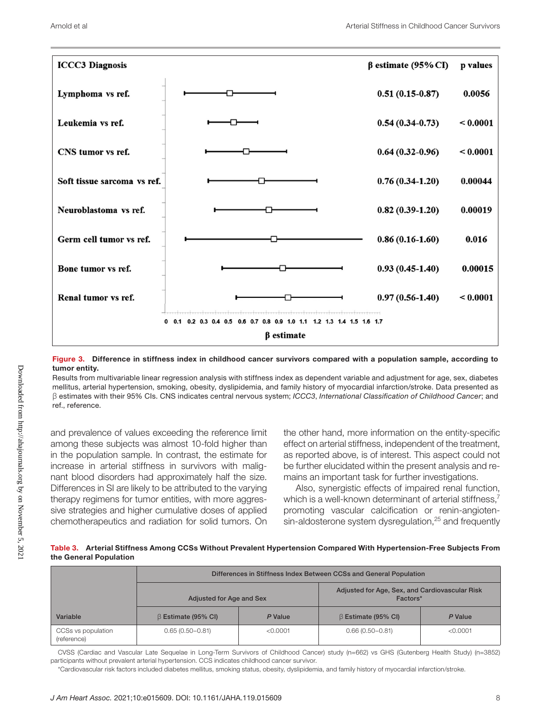

#### Figure 3. Difference in stiffness index in childhood cancer survivors compared with a population sample, according to tumor entity.

Results from multivariable linear regression analysis with stiffness index as dependent variable and adjustment for age, sex, diabetes mellitus, arterial hypertension, smoking, obesity, dyslipidemia, and family history of myocardial infarction/stroke. Data presented as β estimates with their 95% CIs. CNS indicates central nervous system; *ICCC3*, *International Classification of Childhood Cancer*; and ref., reference.

and prevalence of values exceeding the reference limit among these subjects was almost 10-fold higher than in the population sample. In contrast, the estimate for increase in arterial stiffness in survivors with malignant blood disorders had approximately half the size. Differences in SI are likely to be attributed to the varying therapy regimens for tumor entities, with more aggressive strategies and higher cumulative doses of applied chemotherapeutics and radiation for solid tumors. On the other hand, more information on the entity-specific effect on arterial stiffness, independent of the treatment, as reported above, is of interest. This aspect could not be further elucidated within the present analysis and remains an important task for further investigations.

Also, synergistic effects of impaired renal function, which is a well-known determinant of arterial stiffness.<sup>7</sup> promoting vascular calcification or renin-angiotensin-aldosterone system dysregulation,<sup>25</sup> and frequently

Table 3. Arterial Stiffness Among CCSs Without Prevalent Hypertension Compared With Hypertension-Free Subjects From the General Population

|                                   | Differences in Stiffness Index Between CCSs and General Population |          |                                                            |          |
|-----------------------------------|--------------------------------------------------------------------|----------|------------------------------------------------------------|----------|
|                                   | Adjusted for Age and Sex                                           |          | Adjusted for Age, Sex, and Cardiovascular Risk<br>Factors* |          |
| Variable                          | $\beta$ Estimate (95% CI)                                          | P Value  | $\beta$ Estimate (95% CI)                                  | P Value  |
| CCSs vs population<br>(reference) | $0.65(0.50 - 0.81)$                                                | < 0.0001 | $0.66(0.50 - 0.81)$                                        | < 0.0001 |

CVSS (Cardiac and Vascular Late Sequelae in Long-Term Survivors of Childhood Cancer) study (n=662) vs GHS (Gutenberg Health Study) (n=3852) participants without prevalent arterial hypertension. CCS indicates childhood cancer survivor.

\*Cardiovascular risk factors included diabetes mellitus, smoking status, obesity, dyslipidemia, and family history of myocardial infarction/stroke.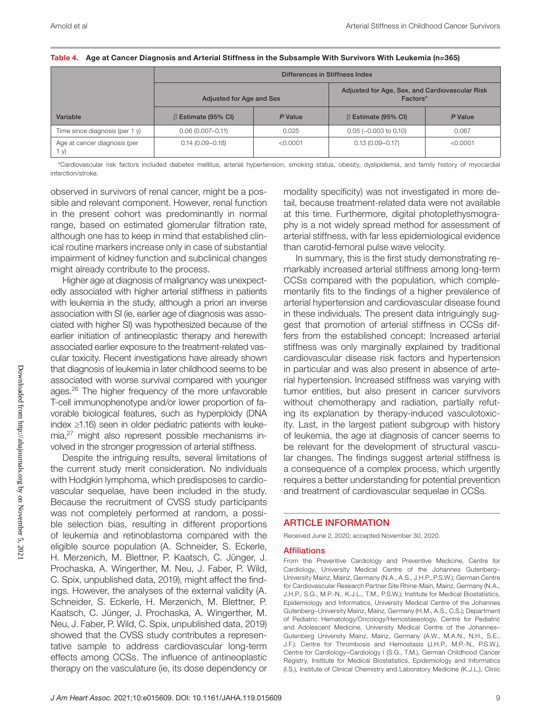|                                    | Differences in Stiffness Index |          |                                                            |          |  |
|------------------------------------|--------------------------------|----------|------------------------------------------------------------|----------|--|
|                                    | Adjusted for Age and Sex       |          | Adjusted for Age, Sex, and Cardiovascular Risk<br>Factors* |          |  |
| Variable                           | $\beta$ Estimate (95% CI)      | P Value  | $\beta$ Estimate (95% CI)                                  | P Value  |  |
| Time since diagnosis (per 1 y)     | $0.06(0.007 - 0.11)$           | 0.025    | $0.05$ (-0.003 to 0.10)                                    | 0.067    |  |
| Age at cancer diagnosis (per<br>У) | $0.14(0.09 - 0.18)$            | < 0.0001 | $0.13(0.09 - 0.17)$                                        | < 0.0001 |  |

#### Table 4. Age at Cancer Diagnosis and Arterial Stiffness in the Subsample With Survivors With Leukemia (n=365)

\*Cardiovascular risk factors included diabetes mellitus, arterial hypertension, smoking status, obesity, dyslipidemia, and family history of myocardial infarction/stroke.

observed in survivors of renal cancer, might be a possible and relevant component. However, renal function in the present cohort was predominantly in normal range, based on estimated glomerular filtration rate, although one has to keep in mind that established clinical routine markers increase only in case of substantial impairment of kidney function and subclinical changes might already contribute to the process.

Higher age at diagnosis of malignancy was unexpectedly associated with higher arterial stiffness in patients with leukemia in the study, although a priori an inverse association with SI (ie, earlier age of diagnosis was associated with higher SI) was hypothesized because of the earlier initiation of antineoplastic therapy and herewith associated earlier exposure to the treatment-related vascular toxicity. Recent investigations have already shown that diagnosis of leukemia in later childhood seems to be associated with worse survival compared with younger ages.<sup>26</sup> The higher frequency of the more unfavorable T-cell immunophenotype and/or lower proportion of favorable biological features, such as hyperploidy (DNA index ≥1.16) seen in older pediatric patients with leukemia,<sup>27</sup> might also represent possible mechanisms involved in the stronger progression of arterial stiffness.

Despite the intriguing results, several limitations of the current study merit consideration. No individuals with Hodgkin lymphoma, which predisposes to cardiovascular sequelae, have been included in the study. Because the recruitment of CVSS study participants was not completely performed at random, a possible selection bias, resulting in different proportions of leukemia and retinoblastoma compared with the eligible source population (A. Schneider, S. Eckerle, H. Merzenich, M. Blettner, P. Kaatsch, C. Jünger, J. Prochaska, A. Wingerther, M. Neu, J. Faber, P. Wild, C. Spix, unpublished data, 2019), might affect the findings. However, the analyses of the external validity (A. Schneider, S. Eckerle, H. Merzenich, M. Blettner, P. Kaatsch, C. Jünger, J. Prochaska, A. Wingerther, M. Neu, J. Faber, P. Wild, C. Spix, unpublished data, 2019) showed that the CVSS study contributes a representative sample to address cardiovascular long-term effects among CCSs. The influence of antineoplastic therapy on the vasculature (ie, its dose dependency or

modality specificity) was not investigated in more detail, because treatment-related data were not available at this time. Furthermore, digital photoplethysmography is a not widely spread method for assessment of arterial stiffness, with far less epidemiological evidence than carotid-femoral pulse wave velocity.

In summary, this is the first study demonstrating remarkably increased arterial stiffness among long-term CCSs compared with the population, which complementarily fits to the findings of a higher prevalence of arterial hypertension and cardiovascular disease found in these individuals. The present data intriguingly suggest that promotion of arterial stiffness in CCSs differs from the established concept: Increased arterial stiffness was only marginally explained by traditional cardiovascular disease risk factors and hypertension in particular and was also present in absence of arterial hypertension. Increased stiffness was varying with tumor entities, but also present in cancer survivors without chemotherapy and radiation, partially refuting its explanation by therapy-induced vasculotoxicity. Last, in the largest patient subgroup with history of leukemia, the age at diagnosis of cancer seems to be relevant for the development of structural vascular changes. The findings suggest arterial stiffness is a consequence of a complex process, which urgently requires a better understanding for potential prevention and treatment of cardiovascular sequelae in CCSs.

#### ARTICLE INFORMATION

Received June 2, 2020; accepted November 30, 2020.

#### **Affiliations**

From the Preventive Cardiology and Preventive Medicine, Centre for Cardiology, University Medical Centre of the Johannes Gutenberg– University Mainz, Mainz, Germany (N.A., A.S., J.H.P., P.S.W.); German Centre for Cardiovascular Research Partner Site Rhine-Main, Mainz, Germany (N.A., J.H.P., S.G., M.P.-N., K.J.L., T.M., P.S.W.); Institute for Medical Biostatistics, Epidemiology and Informatics, University Medical Centre of the Johannes Gutenberg–University Mainz, Mainz, Germany (H.M., A.S., C.S.); Department of Pediatric Hematology/Oncology/Hemostaseology, Centre for Pediatric and Adolescent Medicine, University Medical Centre of the Johannes– Gutenberg University Mainz, Mainz, Germany (A.W., M.A.N., N.H., S.E., J.F.); Centre for Thrombosis and Hemostasis (J.H.P., M.P.-N., P.S.W.), Centre for Cardiology–Cardiology I (S.G., T.M.), German Childhood Cancer Registry, Institute for Medical Biostatistics, Epidemiology and Informatics (I.S.), Institute of Clinical Chemistry and Laboratory Medicine (K.J.L.), Clinic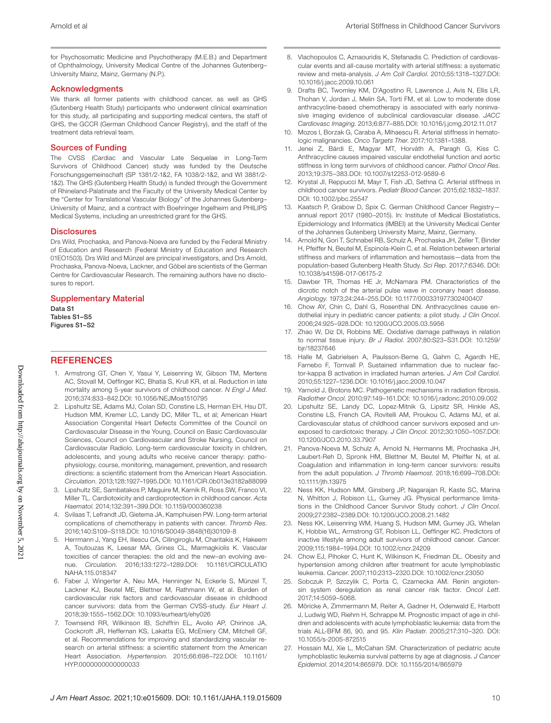for Psychosomatic Medicine and Psychotherapy (M.E.B.) and Department of Ophthalmology, University Medical Centre of the Johannes Gutenberg– University Mainz, Mainz, Germany (N.P.).

#### **Acknowledaments**

We thank all former patients with childhood cancer, as well as GHS (Gutenberg Health Study) participants who underwent clinical examination for this study, all participating and supporting medical centers, the staff of GHS, the GCCR (German Childhood Cancer Registry), and the staff of the treatment data retrieval team.

#### Sources of Funding

The CVSS (Cardiac and Vascular Late Sequelae in Long-Term Survivors of Childhood Cancer) study was funded by the Deutsche Forschungsgemeinschaft (SP 1381/2-1&2, FA 1038/2-1&2, and WI 3881/2- 1&2). The GHS (Gutenberg Health Study) is funded through the Government of Rhineland-Palatinate and the Faculty of the University Medical Center by the "Center for Translational Vascular Biology" of the Johannes Gutenberg– University of Mainz, and a contract with Boehringer Ingelheim and PHILIPS Medical Systems, including an unrestricted grant for the GHS.

#### **Disclosures**

Drs Wild, Prochaska, and Panova-Noeva are funded by the Federal Ministry of Education and Research (Federal Ministry of Education and Research 01EO1503). Drs Wild and Münzel are principal investigators, and Drs Arnold, Prochaska, Panova-Noeva, Lackner, and Göbel are scientists of the German Centre for Cardiovascular Research. The remaining authors have no disclosures to report.

#### Supplementary Material

Data S1 Tables S1–S5 Figures S1–S2

#### **REFERENCES**

- 1. Armstrong GT, Chen Y, Yasui Y, Leisenring W, Gibson TM, Mertens AC, Stovall M, Oeffinger KC, Bhatia S, Krull KR, et al. Reduction in late mortality among 5-year survivors of childhood cancer. *N Engl J Med*. 2016;374:833–842.DOI: [10.1056/NEJMoa1510795](https://doi.org/10.1056/NEJMoa1510795)
- 2. Lipshultz SE, Adams MJ, Colan SD, Constine LS, Herman EH, Hsu DT, Hudson MM, Kremer LC, Landy DC, Miller TL, et al; American Heart Association Congenital Heart Defects Committee of the Council on Cardiovascular Disease in the Young, Council on Basic Cardiovascular Sciences, Council on Cardiovascular and Stroke Nursing, Council on Cardiovascular Radiolo. Long-term cardiovascular toxicity in children, adolescents, and young adults who receive cancer therapy: pathophysiology, course, monitoring, management, prevention, and research directions: a scientific statement from the American Heart Association. *Circulation*. 2013;128:1927–1995.DOI: [10.1161/CIR.0b013e3182a88099](https://doi.org/10.1161/CIR.0b013e3182a88099)
- 3. Lipshultz SE, Sambatakos P, Maguire M, Karnik R, Ross SW, Franco VI, Miller TL. Cardiotoxicity and cardioprotection in childhood cancer. *Acta Haematol*. 2014;132:391–399.DOI: [10.1159/000360238](https://doi.org/10.1159/000360238)
- 4. Svilaas T, Lefrandt JD, Gietema JA, Kamphuisen PW. Long-term arterial complications of chemotherapy in patients with cancer. *Thromb Res*. 2016;140:S109–S118.DOI: [10.1016/S0049-3848\(16\)30109-8](https://doi.org/10.1016/S0049-3848(16)30109-8)
- 5. Herrmann J, Yang EH, Iliescu CA, Cilingiroglu M, Charitakis K, Hakeem A, Toutouzas K, Leesar MA, Grines CL, Marmagkiolis K. Vascular toxicities of cancer therapies: the old and the new–an evolving avenue. *Circulation*. 2016;133:1272–1289.DOI: [10.1161/CIRCULATIO](https://doi.org/10.1161/CIRCULATIONAHA.115.018347) [NAHA.115.018347](https://doi.org/10.1161/CIRCULATIONAHA.115.018347)
- 6. Faber J, Wingerter A, Neu MA, Henninger N, Eckerle S, Münzel T, Lackner KJ, Beutel ME, Blettner M, Rathmann W, et al. Burden of cardiovascular risk factors and cardiovascular disease in childhood cancer survivors: data from the German CVSS-study. *Eur Heart J*. 2018;39:1555–1562.DOI: [10.1093/eurheartj/ehy026](https://doi.org/10.1093/eurheartj/ehy026)
- 7. Townsend RR, Wilkinson IB, Schiffrin EL, Avolio AP, Chirinos JA, Cockcroft JR, Heffernan KS, Lakatta EG, McEniery CM, Mitchell GF, et al. Recommendations for improving and standardizing vascular research on arterial stiffness: a scientific statement from the American Heart Association. *Hypertension*. 2015;66:698–722.DOI: [10.1161/](https://doi.org/10.1161/HYP.0000000000000033) [HYP.0000000000000033](https://doi.org/10.1161/HYP.0000000000000033)
- 8. Vlachopoulos C, Aznaouridis K, Stefanadis C. Prediction of cardiovascular events and all-cause mortality with arterial stiffness: a systematic review and meta-analysis. *J Am Coll Cardiol*. 2010;55:1318–1327.DOI: [10.1016/j.jacc.2009.10.061](https://doi.org/10.1016/j.jacc.2009.10.061)
- 9. Drafts BC, Twomley KM, D'Agostino R, Lawrence J, Avis N, Ellis LR, Thohan V, Jordan J, Melin SA, Torti FM, et al. Low to moderate dose anthracycline-based chemotherapy is associated with early noninvasive imaging evidence of subclinical cardiovascular disease. *JACC Cardiovasc Imaging*. 2013;6:877–885.DOI: [10.1016/j.jcmg.2012.11.017](https://doi.org/10.1016/j.jcmg.2012.11.017)
- 10. Mozos I, Borzak G, Caraba A, Mihaescu R. Arterial stiffness in hematologic malignancies. *Onco Targets Ther*. 2017;10:1381–1388.
- 11. Jenei Z, Bárdi E, Magyar MT, Horváth A, Paragh G, Kiss C. Anthracycline causes impaired vascular endothelial function and aortic stiffness in long term survivors of childhood cancer. *Pathol Oncol Res*. 2013;19:375–383.DOI: [10.1007/s12253-012-9589-6](https://doi.org/10.1007/s12253-012-9589-6)
- 12. Krystal JI, Reppucci M, Mayr T, Fish JD, Sethna C. Arterial stiffness in childhood cancer survivors. *Pediatr Blood Cancer*. 2015;62:1832–1837. DOI: [10.1002/pbc.25547](https://doi.org/10.1002/pbc.25547)
- 13. Kaatsch P, Grabow D, Spix C. German Childhood Cancer Registry annual report 2017 (1980–2015). In: Institute of Medical Biostatistics, Epidemiology and Informatics (IMBEI) at the University Medical Center of the Johannes Gutenberg University Mainz, Mainz, Germany.
- 14. Arnold N, Gori T, Schnabel RB, Schulz A, Prochaska JH, Zeller T, Binder H, Pfeiffer N, Beutel M, Espinola-Klein C, et al. Relation between arterial stiffness and markers of inflammation and hemostasis—data from the population-based Gutenberg Health Study. *Sci Rep*. 2017;7:6346. DOI: [10.1038/s41598-017-06175-2](https://doi.org/10.1038/s41598-017-06175-2)
- 15. Dawber TR, Thomas HE Jr, McNamara PM. Characteristics of the dicrotic notch of the arterial pulse wave in coronary heart disease. *Angiology*. 1973;24:244–255.DOI: [10.1177/000331977302400407](https://doi.org/10.1177/000331977302400407)
- 16. Chow AY, Chin C, Dahl G, Rosenthal DN. Anthracyclines cause endothelial injury in pediatric cancer patients: a pilot study. *J Clin Oncol*. 2006;24:925–928.DOI: [10.1200/JCO.2005.03.5956](https://doi.org/10.1200/JCO.2005.03.5956)
- 17. Zhao W, Diz DI, Robbins ME. Oxidative damage pathways in relation to normal tissue injury. *Br J Radiol*. 2007;80:S23–S31.DOI: [10.1259/](https://doi.org/10.1259/bjr/18237646) [bjr/18237646](https://doi.org/10.1259/bjr/18237646)
- 18. Halle M, Gabrielsen A, Paulsson-Berne G, Gahm C, Agardh HE, Farnebo F, Tornvall P. Sustained inflammation due to nuclear factor-kappa B activation in irradiated human arteries. *J Am Coll Cardiol*. 2010;55:1227–1236.DOI: [10.1016/j.jacc.2009.10.047](https://doi.org/10.1016/j.jacc.2009.10.047)
- 19. Yarnold J, Brotons MC. Pathogenetic mechanisms in radiation fibrosis. *Radiother Oncol*. 2010;97:149–161.DOI: [10.1016/j.radonc.2010.09.002](https://doi.org/10.1016/j.radonc.2010.09.002)
- 20. Lipshultz SE, Landy DC, Lopez-Mitnik G, Lipsitz SR, Hinkle AS, Constine LS, French CA, Rovitelli AM, Proukou C, Adams MJ, et al. Cardiovascular status of childhood cancer survivors exposed and unexposed to cardiotoxic therapy. *J Clin Oncol*. 2012;30:1050–1057.DOI: [10.1200/JCO.2010.33.7907](https://doi.org/10.1200/JCO.2010.33.7907)
- 21. Panova-Noeva M, Schulz A, Arnold N, Hermanns MI, Prochaska JH, Laubert-Reh D, Spronk HM, Blettner M, Beutel M, Pfeiffer N, et al. Coagulation and inflammation in long-term cancer survivors: results from the adult population. *J Thromb Haemost*. 2018;16:699–708.DOI: [10.1111/jth.13975](https://doi.org/10.1111/jth.13975)
- 22. Ness KK, Hudson MM, Ginsberg JP, Nagarajan R, Kaste SC, Marina N, Whitton J, Robison LL, Gurney JG. Physical performance limitations in the Childhood Cancer Survivor Study cohort. *J Clin Oncol*. 2009;27:2382–2389.DOI: [10.1200/JCO.2008.21.1482](https://doi.org/10.1200/JCO.2008.21.1482)
- 23. Ness KK, Leisenring WM, Huang S, Hudson MM, Gurney JG, Whelan K, Hobbie WL, Armstrong GT, Robison LL, Oeffinger KC. Predictors of inactive lifestyle among adult survivors of childhood cancer. *Cancer*. 2009;115:1984–1994.DOI: [10.1002/cncr.24209](https://doi.org/10.1002/cncr.24209)
- 24. Chow EJ, Pihoker C, Hunt K, Wilkinson K, Friedman DL. Obesity and hypertension among children after treatment for acute lymphoblastic leukemia. *Cancer*. 2007;110:2313–2320.DOI: [10.1002/cncr.23050](https://doi.org/10.1002/cncr.23050)
- 25. Sobczuk P, Szczylik C, Porta C, Czarnecka AM. Renin angiotensin system deregulation as renal cancer risk factor. *Oncol Lett*. 2017;14:5059–5068.
- 26. Möricke A, Zimmermann M, Reiter A, Gadner H, Odenwald E, Harbott J, Ludwig WD, Riehm H, Schrappe M. Prognostic impact of age in children and adolescents with acute lymphoblastic leukemia: data from the trials ALL-BFM 86, 90, and 95. *Klin Padiatr*. 2005;217:310–320. DOI: [10.1055/s-2005-872515](https://doi.org/10.1055/s-2005-872515)
- 27. Hossain MJ, Xie L, McCahan SM. Characterization of pediatric acute lymphoblastic leukemia survival patterns by age at diagnosis. *J Cancer Epidemiol*. 2014;2014:865979. DOI: [10.1155/2014/865979](https://doi.org/10.1155/2014/865979)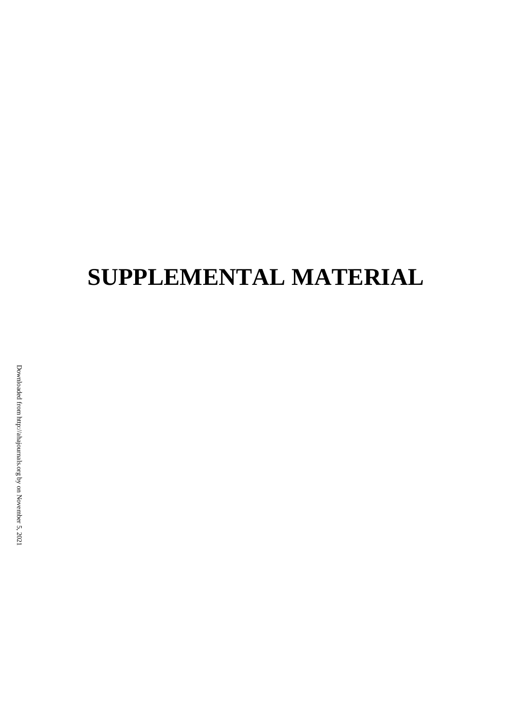# **SUPPLEMENTAL MATERIAL**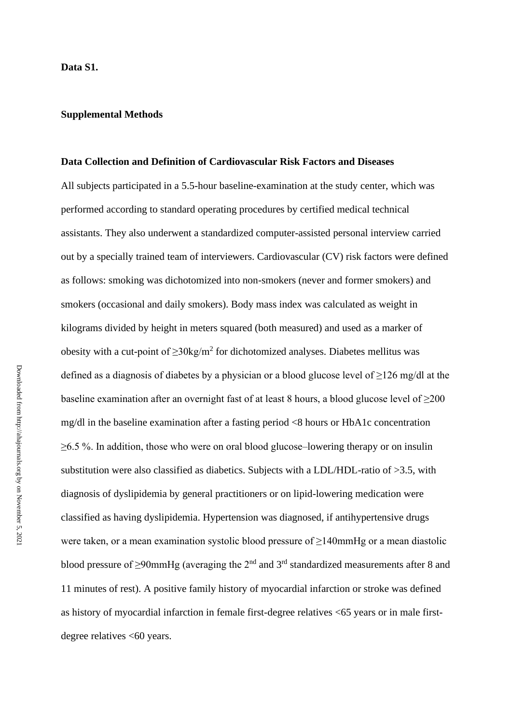#### **Supplemental Methods**

#### **Data Collection and Definition of Cardiovascular Risk Factors and Diseases**

All subjects participated in a 5.5-hour baseline-examination at the study center, which was performed according to standard operating procedures by certified medical technical assistants. They also underwent a standardized computer-assisted personal interview carried out by a specially trained team of interviewers. Cardiovascular (CV) risk factors were defined as follows: smoking was dichotomized into non-smokers (never and former smokers) and smokers (occasional and daily smokers). Body mass index was calculated as weight in kilograms divided by height in meters squared (both measured) and used as a marker of obesity with a cut-point of  $\geq 30 \text{kg/m}^2$  for dichotomized analyses. Diabetes mellitus was defined as a diagnosis of diabetes by a physician or a blood glucose level of  $\geq$ 126 mg/dl at the baseline examination after an overnight fast of at least 8 hours, a blood glucose level of  $\geq$ 200 mg/dl in the baseline examination after a fasting period <8 hours or HbA1c concentration  $\geq 6.5$  %. In addition, those who were on oral blood glucose–lowering therapy or on insulin substitution were also classified as diabetics. Subjects with a LDL/HDL-ratio of >3.5, with diagnosis of dyslipidemia by general practitioners or on lipid-lowering medication were classified as having dyslipidemia. Hypertension was diagnosed, if antihypertensive drugs were taken, or a mean examination systolic blood pressure of ≥140mmHg or a mean diastolic blood pressure of  $\geq$ 90mmHg (averaging the 2<sup>nd</sup> and 3<sup>rd</sup> standardized measurements after 8 and 11 minutes of rest). A positive family history of myocardial infarction or stroke was defined as history of myocardial infarction in female first-degree relatives <65 years or in male firstdegree relatives <60 years.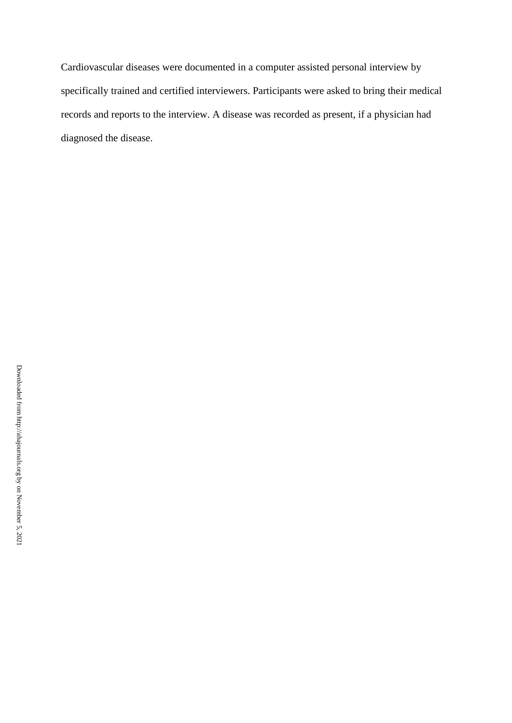Cardiovascular diseases were documented in a computer assisted personal interview by specifically trained and certified interviewers. Participants were asked to bring their medical records and reports to the interview. A disease was recorded as present, if a physician had diagnosed the disease.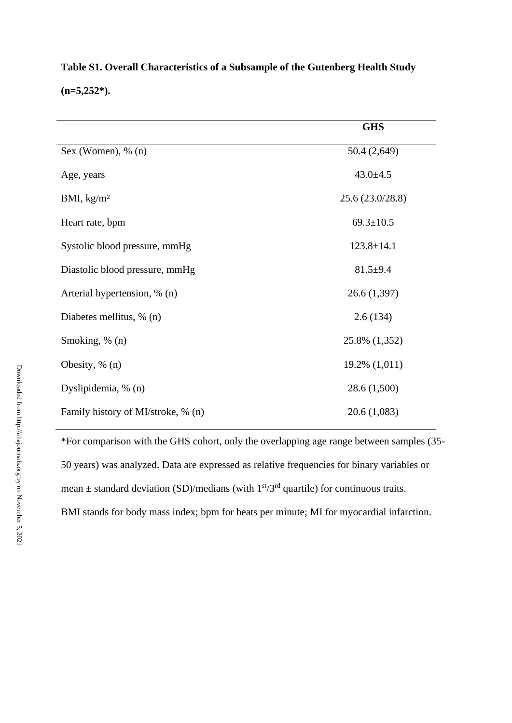|                                    | <b>GHS</b>       |
|------------------------------------|------------------|
| Sex (Women), $\%$ (n)              | 50.4 (2,649)     |
| Age, years                         | $43.0 \pm 4.5$   |
| BMI, $\text{kg/m}^2$               | 25.6 (23.0/28.8) |
| Heart rate, bpm                    | $69.3 \pm 10.5$  |
| Systolic blood pressure, mmHg      | $123.8 \pm 14.1$ |
| Diastolic blood pressure, mmHg     | $81.5+9.4$       |
| Arterial hypertension, % (n)       | 26.6(1,397)      |
| Diabetes mellitus, % (n)           | 2.6(134)         |
| Smoking, % (n)                     | 25.8% (1,352)    |
| Obesity, $% (n)$                   | 19.2% (1,011)    |
| Dyslipidemia, % (n)                | 28.6 (1,500)     |
| Family history of MI/stroke, % (n) | 20.6 (1,083)     |

**Table S1. Overall Characteristics of a Subsample of the Gutenberg Health Study (n=5,252\*).**

\*For comparison with the GHS cohort, only the overlapping age range between samples (35- 50 years) was analyzed. Data are expressed as relative frequencies for binary variables or mean  $\pm$  standard deviation (SD)/medians (with  $1<sup>st</sup>/3<sup>rd</sup>$  quartile) for continuous traits. BMI stands for body mass index; bpm for beats per minute; MI for myocardial infarction.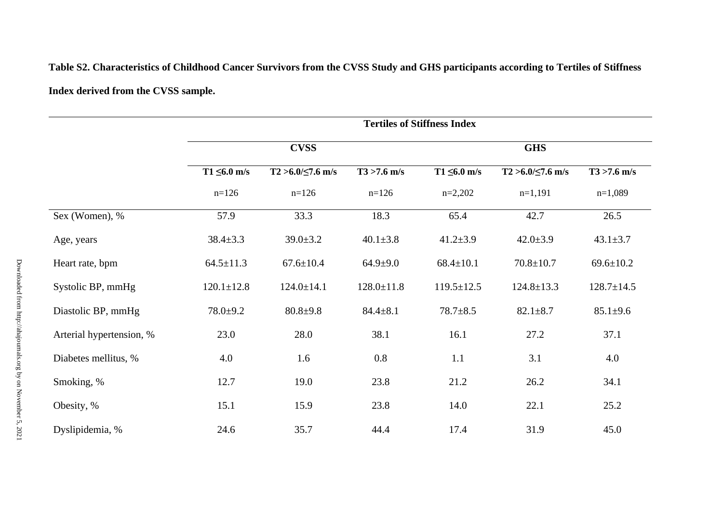**Table S2. Characteristics of Childhood Cancer Survivors from the CVSS Study and GHS participants according to Tertiles of Stiffness Index derived from the CVSS sample.** 

|                          | <b>Tertiles of Stiffness Index</b> |                          |                  |                   |                          |                  |  |
|--------------------------|------------------------------------|--------------------------|------------------|-------------------|--------------------------|------------------|--|
|                          |                                    | <b>CVSS</b>              |                  |                   | <b>GHS</b>               |                  |  |
|                          | $T1 \leq 6.0$ m/s                  | $T2 > 6.0 / \le 7.6$ m/s | $T3 > 7.6$ m/s   | $T1 \leq 6.0$ m/s | $T2 > 6.0 / \le 7.6$ m/s | $T3 > 7.6$ m/s   |  |
|                          | $n=126$                            | $n=126$                  | $n=126$          | $n=2,202$         | $n=1,191$                | $n=1,089$        |  |
| Sex (Women), %           | 57.9                               | 33.3                     | 18.3             | 65.4              | 42.7                     | 26.5             |  |
| Age, years               | $38.4 \pm 3.3$                     | $39.0 \pm 3.2$           | $40.1 \pm 3.8$   | $41.2 \pm 3.9$    | $42.0 \pm 3.9$           | $43.1 \pm 3.7$   |  |
| Heart rate, bpm          | $64.5 \pm 11.3$                    | $67.6 \pm 10.4$          | $64.9 + 9.0$     | $68.4 \pm 10.1$   | $70.8 \pm 10.7$          | $69.6 \pm 10.2$  |  |
| Systolic BP, mmHg        | $120.1 \pm 12.8$                   | $124.0 \pm 14.1$         | $128.0 \pm 11.8$ | $119.5 \pm 12.5$  | $124.8 \pm 13.3$         | $128.7 \pm 14.5$ |  |
| Diastolic BP, mmHg       | $78.0 + 9.2$                       | $80.8 + 9.8$             | $84.4 \pm 8.1$   | $78.7 + 8.5$      | $82.1 \pm 8.7$           | $85.1 \pm 9.6$   |  |
| Arterial hypertension, % | 23.0                               | 28.0                     | 38.1             | 16.1              | 27.2                     | 37.1             |  |
| Diabetes mellitus, %     | 4.0                                | 1.6                      | 0.8              | 1.1               | 3.1                      | 4.0              |  |
| Smoking, %               | 12.7                               | 19.0                     | 23.8             | 21.2              | 26.2                     | 34.1             |  |
| Obesity, %               | 15.1                               | 15.9                     | 23.8             | 14.0              | 22.1                     | 25.2             |  |
| Dyslipidemia, %          | 24.6                               | 35.7                     | 44.4             | 17.4              | 31.9                     | 45.0             |  |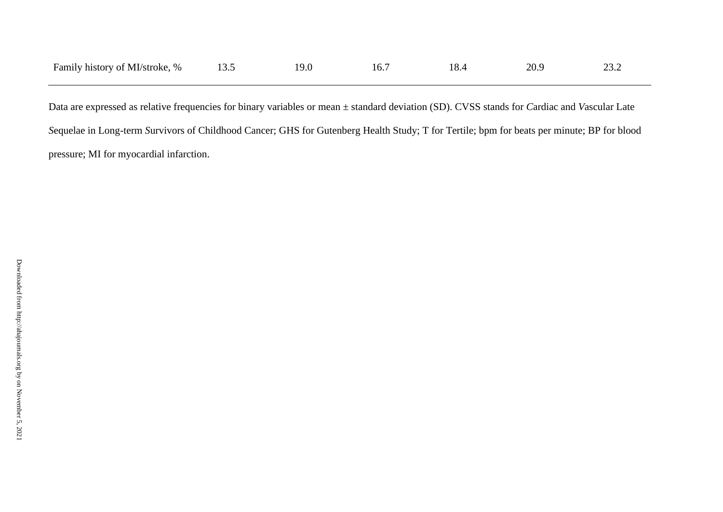| Family history of MI/stroke, % |  | tb. | 18.4 | 20.9 |  |
|--------------------------------|--|-----|------|------|--|
|                                |  |     |      |      |  |

Data are expressed as relative frequencies for binary variables or mean ± standard deviation (SD). CVSS stands for *C*ardiac and *V*ascular Late *S*equelae in Long-term *S*urvivors of Childhood Cancer; GHS for Gutenberg Health Study; T for Tertile; bpm for beats per minute; BP for blood pressure; MI for myocardial infarction.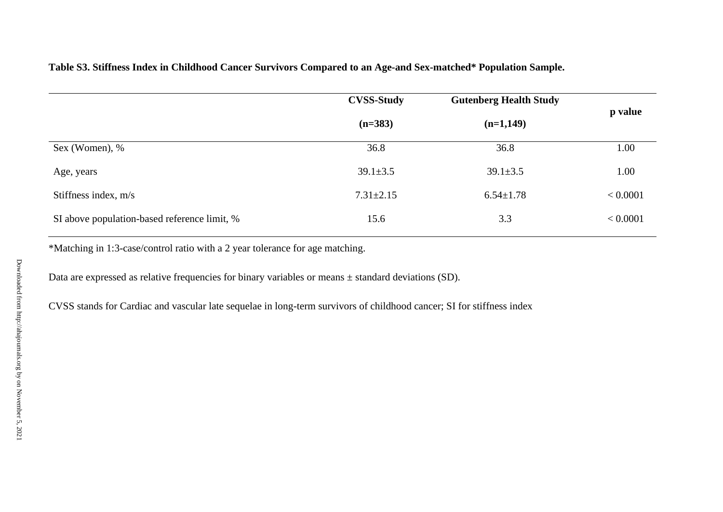|                                              | <b>CVSS-Study</b> | <b>Gutenberg Health Study</b> |          |  |
|----------------------------------------------|-------------------|-------------------------------|----------|--|
|                                              | $(n=383)$         | $(n=1,149)$                   | p value  |  |
| Sex (Women), %                               | 36.8              | 36.8                          | 1.00     |  |
| Age, years                                   | $39.1 \pm 3.5$    | $39.1 \pm 3.5$                | 1.00     |  |
| Stiffness index, $m/s$                       | $7.31 \pm 2.15$   | $6.54 \pm 1.78$               | < 0.0001 |  |
| SI above population-based reference limit, % | 15.6              | 3.3                           | < 0.0001 |  |

**Table S3. Stiffness Index in Childhood Cancer Survivors Compared to an Age-and Sex-matched\* Population Sample.**

\*Matching in 1:3-case/control ratio with a 2 year tolerance for age matching.

Data are expressed as relative frequencies for binary variables or means  $\pm$  standard deviations (SD).

CVSS stands for Cardiac and vascular late sequelae in long-term survivors of childhood cancer; SI for stiffness index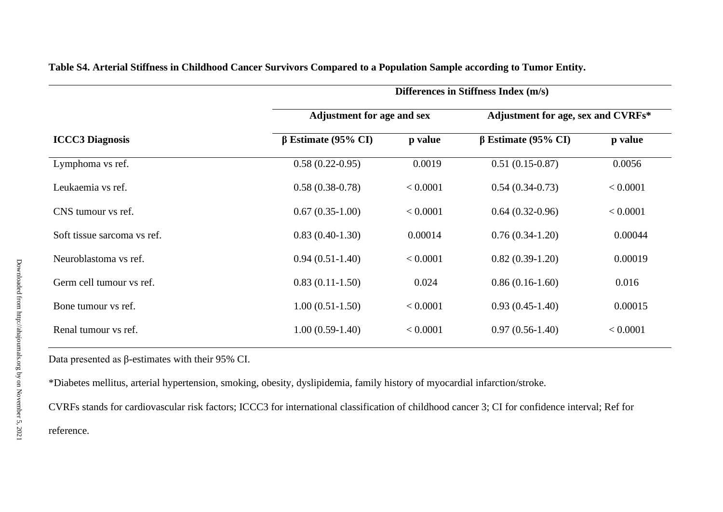|                             | Differences in Stiffness Index (m/s) |                                    |                           |          |  |  |
|-----------------------------|--------------------------------------|------------------------------------|---------------------------|----------|--|--|
|                             | <b>Adjustment for age and sex</b>    | Adjustment for age, sex and CVRFs* |                           |          |  |  |
| <b>ICCC3</b> Diagnosis      | $\beta$ Estimate (95% CI)            | p value                            | $\beta$ Estimate (95% CI) | p value  |  |  |
| Lymphoma vs ref.            | $0.58(0.22-0.95)$                    | 0.0019                             | $0.51(0.15-0.87)$         | 0.0056   |  |  |
| Leukaemia vs ref.           | $0.58(0.38-0.78)$                    | < 0.0001                           | $0.54(0.34-0.73)$         | < 0.0001 |  |  |
| CNS tumour vs ref.          | $0.67(0.35-1.00)$                    | < 0.0001                           | $0.64(0.32-0.96)$         | < 0.0001 |  |  |
| Soft tissue sarcoma vs ref. | $0.83(0.40-1.30)$                    | 0.00014                            | $0.76(0.34-1.20)$         | 0.00044  |  |  |
| Neuroblastoma vs ref.       | $0.94(0.51-1.40)$                    | < 0.0001                           | $0.82(0.39-1.20)$         | 0.00019  |  |  |
| Germ cell tumour vs ref.    | $0.83(0.11-1.50)$                    | 0.024                              | $0.86(0.16-1.60)$         | 0.016    |  |  |
| Bone tumour vs ref.         | $1.00(0.51-1.50)$                    | < 0.0001                           | $0.93(0.45-1.40)$         | 0.00015  |  |  |
| Renal tumour vs ref.        | $1.00(0.59-1.40)$                    | < 0.0001                           | $0.97(0.56-1.40)$         | < 0.0001 |  |  |

**Table S4. Arterial Stiffness in Childhood Cancer Survivors Compared to a Population Sample according to Tumor Entity.**

Data presented as β-estimates with their 95% CI.

\*Diabetes mellitus, arterial hypertension, smoking, obesity, dyslipidemia, family history of myocardial infarction/stroke.

CVRFs stands for cardiovascular risk factors; ICCC3 for international classification of childhood cancer 3; CI for confidence interval; Ref for reference.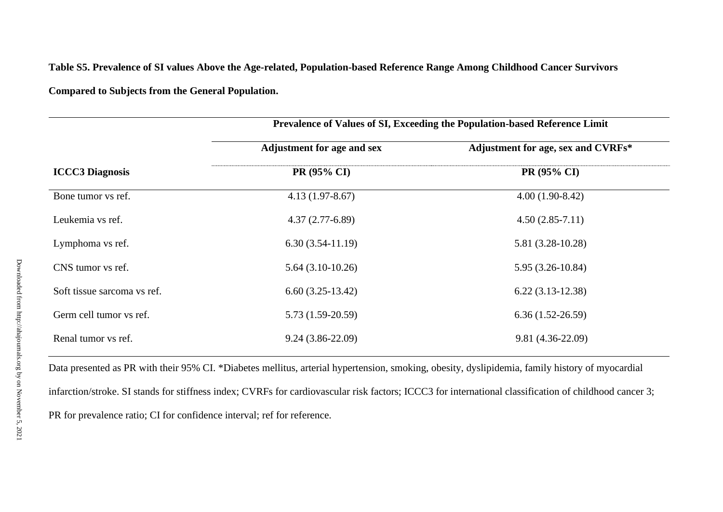**Table S5. Prevalence of SI values Above the Age-related, Population-based Reference Range Among Childhood Cancer Survivors**

**Compared to Subjects from the General Population.**

|                             | Prevalence of Values of SI, Exceeding the Population-based Reference Limit |                                    |  |  |
|-----------------------------|----------------------------------------------------------------------------|------------------------------------|--|--|
|                             | <b>Adjustment for age and sex</b>                                          | Adjustment for age, sex and CVRFs* |  |  |
| <b>ICCC3</b> Diagnosis      | PR (95% CI)                                                                | PR (95% CI)                        |  |  |
| Bone tumor vs ref.          | $4.13(1.97-8.67)$                                                          | $4.00(1.90-8.42)$                  |  |  |
| Leukemia vs ref.            | $4.37(2.77-6.89)$                                                          | $4.50(2.85-7.11)$                  |  |  |
| Lymphoma vs ref.            | $6.30(3.54-11.19)$                                                         | 5.81 (3.28-10.28)                  |  |  |
| CNS tumor vs ref.           | $5.64(3.10-10.26)$                                                         | $5.95(3.26-10.84)$                 |  |  |
| Soft tissue sarcoma vs ref. | $6.60(3.25-13.42)$                                                         | $6.22(3.13-12.38)$                 |  |  |
| Germ cell tumor vs ref.     | $5.73(1.59-20.59)$                                                         | $6.36(1.52-26.59)$                 |  |  |
| Renal tumor vs ref.         | $9.24(3.86-22.09)$                                                         | 9.81 (4.36-22.09)                  |  |  |

Data presented as PR with their 95% CI. \*Diabetes mellitus, arterial hypertension, smoking, obesity, dyslipidemia, family history of myocardial infarction/stroke. SI stands for stiffness index; CVRFs for cardiovascular risk factors; ICCC3 for international classification of childhood cancer 3;

PR for prevalence ratio; CI for confidence interval; ref for reference.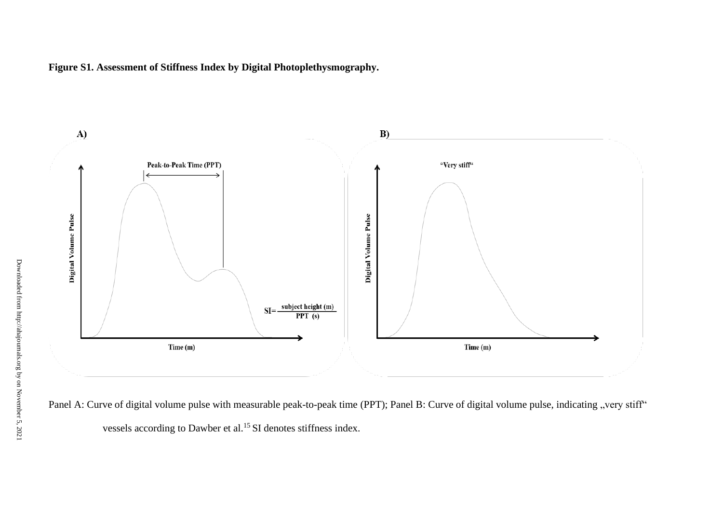**Figure S1. Assessment of Stiffness Index by Digital Photoplethysmography.**



Panel A: Curve of digital volume pulse with measurable peak-to-peak time (PPT); Panel B: Curve of digital volume pulse, indicating "very stiff" vessels according to Dawber et al.<sup>15</sup> SI denotes stiffness index.